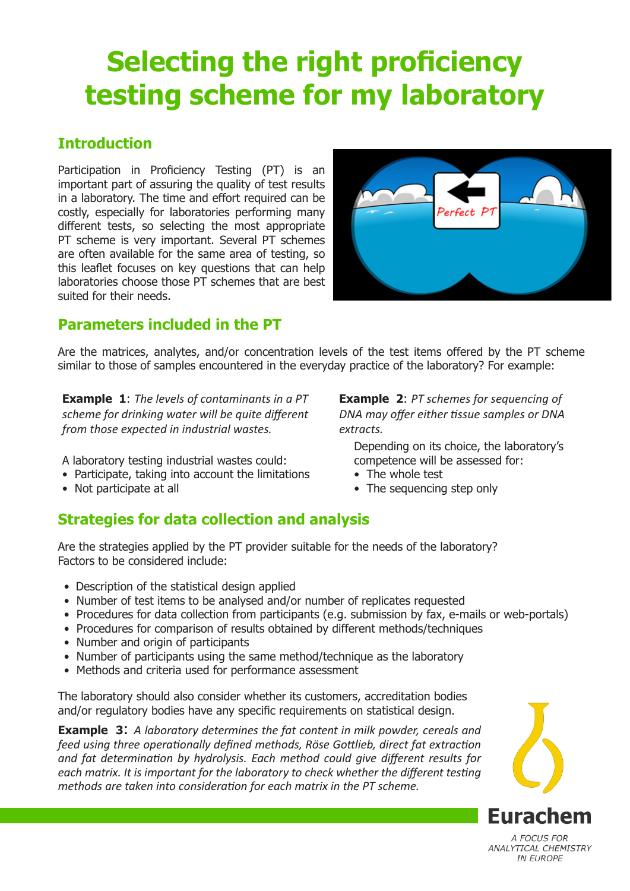# **Selecting the right proficiency testing scheme for my laboratory**

### **Introduction**

Participation in Proficiency Testing (PT) is an important part of assuring the quality of test results in a laboratory. The time and effort required can be costly, especially for laboratories performing many different tests, so selecting the most appropriate PT scheme is very important. Several PT schemes are often available for the same area of testing, so this leaflet focuses on key questions that can help laboratories choose those PT schemes that are best suited for their needs.



### **Parameters included in the PT**

Are the matrices, analytes, and/or concentration levels of the test items offered by the PT scheme similar to those of samples encountered in the everyday practice of the laboratory? For example:

**Example 1**: *The levels of contaminants in a PT scheme for drinking water will be quite different from those expected in industrial wastes.*

A laboratory testing industrial wastes could:

- Participate, taking into account the limitations
- Not participate at all

**Example 2**: *PT schemes for sequencing of DNA may offer either tissue samples or DNA extracts.*

Depending on its choice, the laboratory's competence will be assessed for:

- The whole test
- The sequencing step only

## **Strategies for data collection and analysis**

Are the strategies applied by the PT provider suitable for the needs of the laboratory? Factors to be considered include:

- Description of the statistical design applied
- Number of test items to be analysed and/or number of replicates requested
- Procedures for data collection from participants (e.g. submission by fax, e-mails or web-portals)
- Procedures for comparison of results obtained by different methods/techniques
- Number and origin of participants
- Number of participants using the same method/technique as the laboratory
- Methods and criteria used for performance assessment

The laboratory should also consider whether its customers, accreditation bodies and/or regulatory bodies have any specific requirements on statistical design.

**Example 3**: *A laboratory determines the fat content in milk powder, cereals and feed using three operationally defined methods, Röse Gottlieb, direct fat extraction and fat determination by hydrolysis. Each method could give different results for each matrix. It is important for the laboratory to check whether the different testing methods are taken into consideration for each matrix in the PT scheme.*



A FOCUS FOR ANALYTICAL CHEMISTRY **IN EUROPE**